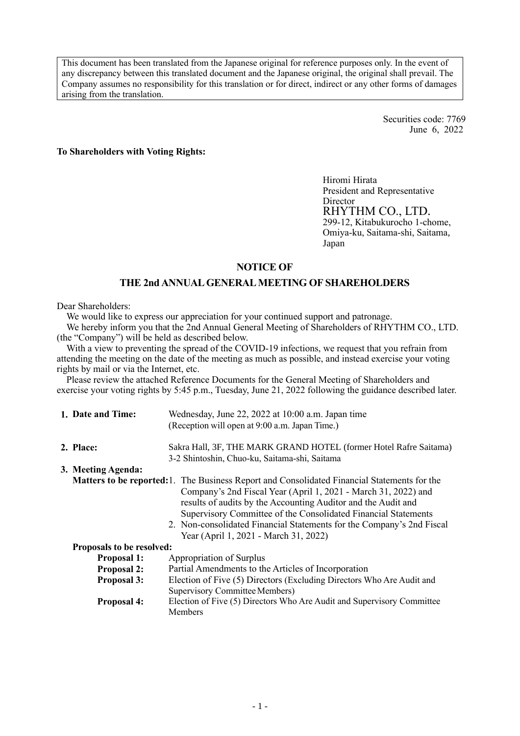This document has been translated from the Japanese original for reference purposes only. In the event of any discrepancy between this translated document and the Japanese original, the original shall prevail. The Company assumes no responsibility for this translation or for direct, indirect or any other forms of damages arising from the translation.

> Securities code: 7769 June 6, 2022

### **To Shareholders with Voting Rights:**

Hiromi Hirata President and Representative Director RHYTHM CO., LTD. 299-12, Kitabukurocho 1-chome, Omiya-ku, Saitama-shi, Saitama, Japan

### **NOTICE OF**

## **THE 2nd ANNUAL GENERAL MEETING OF SHAREHOLDERS**

#### Dear Shareholders:

We would like to express our appreciation for your continued support and patronage.

We hereby inform you that the 2nd Annual General Meeting of Shareholders of RHYTHM CO., LTD. (the "Company") will be held as described below.

With a view to preventing the spread of the COVID-19 infections, we request that you refrain from attending the meeting on the date of the meeting as much as possible, and instead exercise your voting rights by mail or via the Internet, etc.

Please review the attached Reference Documents for the General Meeting of Shareholders and exercise your voting rights by 5:45 p.m., Tuesday, June 21, 2022 following the guidance described later.

| 1. Date and Time:         | Wednesday, June 22, 2022 at 10:00 a.m. Japan time                                                                                                                                                 |
|---------------------------|---------------------------------------------------------------------------------------------------------------------------------------------------------------------------------------------------|
|                           | (Reception will open at 9:00 a.m. Japan Time.)                                                                                                                                                    |
| 2. Place:                 | Sakra Hall, 3F, THE MARK GRAND HOTEL (former Hotel Rafre Saitama)                                                                                                                                 |
|                           | 3-2 Shintoshin, Chuo-ku, Saitama-shi, Saitama                                                                                                                                                     |
| 3. Meeting Agenda:        |                                                                                                                                                                                                   |
|                           | <b>Matters to be reported:</b> 1. The Business Report and Consolidated Financial Statements for the                                                                                               |
|                           | Company's 2nd Fiscal Year (April 1, 2021 - March 31, 2022) and<br>results of audits by the Accounting Auditor and the Audit and<br>Supervisory Committee of the Consolidated Financial Statements |
|                           | 2. Non-consolidated Financial Statements for the Company's 2nd Fiscal<br>Year (April 1, 2021 - March 31, 2022)                                                                                    |
| Proposals to be resolved: |                                                                                                                                                                                                   |
| <b>Proposal 1:</b>        | Appropriation of Surplus                                                                                                                                                                          |
| <b>Proposal 2:</b>        | Partial Amendments to the Articles of Incorporation                                                                                                                                               |
| Proposal 3:               | Election of Five (5) Directors (Excluding Directors Who Are Audit and                                                                                                                             |
|                           | Supervisory Committee Members)                                                                                                                                                                    |
| <b>Proposal 4:</b>        | Election of Five (5) Directors Who Are Audit and Supervisory Committee<br>Members                                                                                                                 |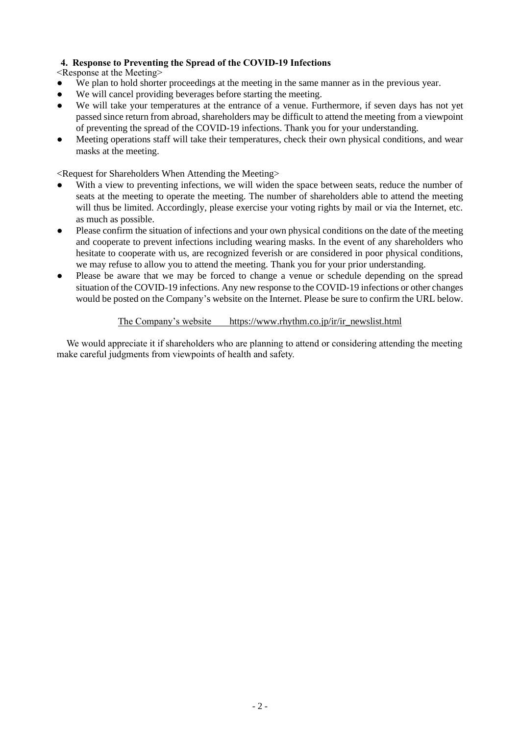## **4. Response to Preventing the Spread of the COVID-19 Infections**

<Response at the Meeting>

- We plan to hold shorter proceedings at the meeting in the same manner as in the previous year.
- We will cancel providing beverages before starting the meeting.
- We will take your temperatures at the entrance of a venue. Furthermore, if seven days has not yet passed since return from abroad, shareholders may be difficult to attend the meeting from a viewpoint of preventing the spread of the COVID-19 infections. Thank you for your understanding.
- Meeting operations staff will take their temperatures, check their own physical conditions, and wear masks at the meeting.

<Request for Shareholders When Attending the Meeting>

- With a view to preventing infections, we will widen the space between seats, reduce the number of seats at the meeting to operate the meeting. The number of shareholders able to attend the meeting will thus be limited. Accordingly, please exercise your voting rights by mail or via the Internet, etc. as much as possible.
- Please confirm the situation of infections and your own physical conditions on the date of the meeting and cooperate to prevent infections including wearing masks. In the event of any shareholders who hesitate to cooperate with us, are recognized feverish or are considered in poor physical conditions, we may refuse to allow you to attend the meeting. Thank you for your prior understanding.
- Please be aware that we may be forced to change a venue or schedule depending on the spread situation of the COVID-19 infections. Any new response to the COVID-19 infections or other changes would be posted on the Company's website on the Internet. Please be sure to confirm the URL below.

## The Company's website https://www.rhythm.co.jp/ir/ir\_newslist.html

We would appreciate it if shareholders who are planning to attend or considering attending the meeting make careful judgments from viewpoints of health and safety.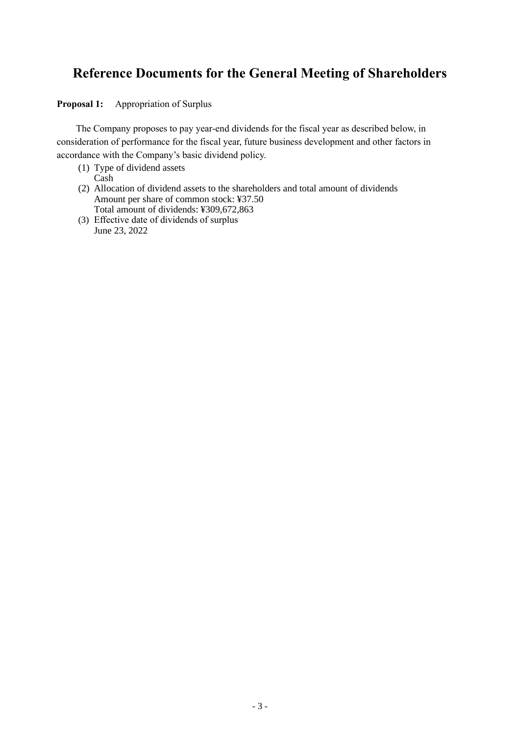# **Reference Documents for the General Meeting of Shareholders**

**Proposal 1:** Appropriation of Surplus

The Company proposes to pay year-end dividends for the fiscal year as described below, in consideration of performance for the fiscal year, future business development and other factors in accordance with the Company's basic dividend policy.

- (1) Type of dividend assets Cash
- (2) Allocation of dividend assets to the shareholders and total amount of dividends Amount per share of common stock: ¥37.50 Total amount of dividends: ¥309,672,863
- (3) Effective date of dividends of surplus June 23, 2022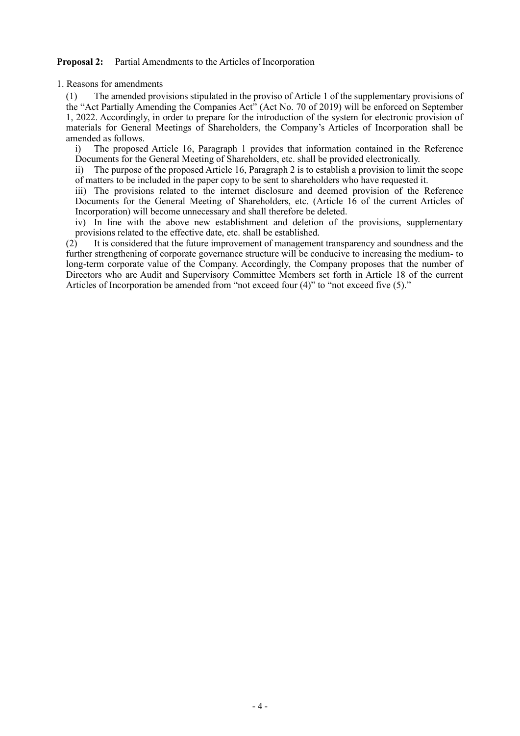### **Proposal 2:** Partial Amendments to the Articles of Incorporation

1. Reasons for amendments

(1) The amended provisions stipulated in the proviso of Article 1 of the supplementary provisions of the "Act Partially Amending the Companies Act" (Act No. 70 of 2019) will be enforced on September 1, 2022. Accordingly, in order to prepare for the introduction of the system for electronic provision of materials for General Meetings of Shareholders, the Company's Articles of Incorporation shall be amended as follows.

i) The proposed Article 16, Paragraph 1 provides that information contained in the Reference Documents for the General Meeting of Shareholders, etc. shall be provided electronically.

ii) The purpose of the proposed Article 16, Paragraph 2 is to establish a provision to limit the scope of matters to be included in the paper copy to be sent to shareholders who have requested it.

iii) The provisions related to the internet disclosure and deemed provision of the Reference Documents for the General Meeting of Shareholders, etc. (Article 16 of the current Articles of Incorporation) will become unnecessary and shall therefore be deleted.

iv) In line with the above new establishment and deletion of the provisions, supplementary provisions related to the effective date, etc. shall be established.

 $(2)$  It is considered that the future improvement of management transparency and soundness and the further strengthening of corporate governance structure will be conducive to increasing the medium- to long-term corporate value of the Company. Accordingly, the Company proposes that the number of Directors who are Audit and Supervisory Committee Members set forth in Article 18 of the current Articles of Incorporation be amended from "not exceed four (4)" to "not exceed five (5)."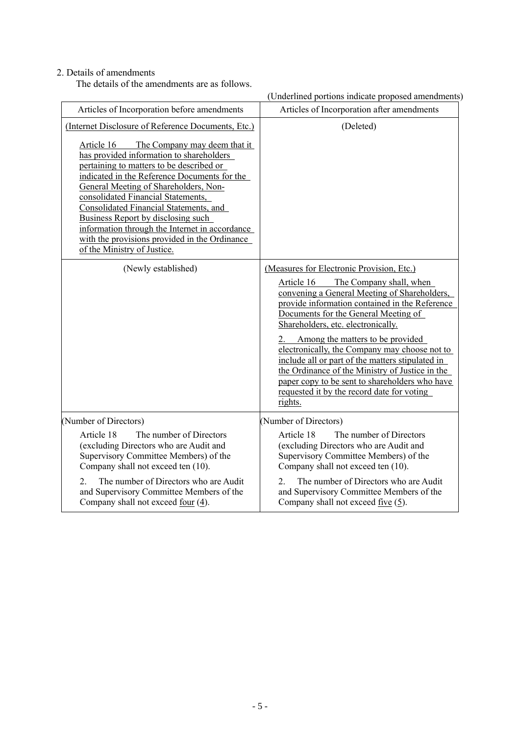## 2. Details of amendments

The details of the amendments are as follows.

(Underlined portions indicate proposed amendments)

| Articles of Incorporation before amendments                                                                                                                                                                                                                                                                                                                                                                                                                                                                                               | Articles of Incorporation after amendments                                                                                                                                                                                                                                                                                                                                                                                                                                                                                                                                |
|-------------------------------------------------------------------------------------------------------------------------------------------------------------------------------------------------------------------------------------------------------------------------------------------------------------------------------------------------------------------------------------------------------------------------------------------------------------------------------------------------------------------------------------------|---------------------------------------------------------------------------------------------------------------------------------------------------------------------------------------------------------------------------------------------------------------------------------------------------------------------------------------------------------------------------------------------------------------------------------------------------------------------------------------------------------------------------------------------------------------------------|
| (Internet Disclosure of Reference Documents, Etc.)<br>The Company may deem that it<br>Article 16<br>has provided information to shareholders<br>pertaining to matters to be described or<br>indicated in the Reference Documents for the<br>General Meeting of Shareholders, Non-<br>consolidated Financial Statements,<br>Consolidated Financial Statements, and<br>Business Report by disclosing such<br>information through the Internet in accordance<br>with the provisions provided in the Ordinance<br>of the Ministry of Justice. | (Deleted)                                                                                                                                                                                                                                                                                                                                                                                                                                                                                                                                                                 |
| (Newly established)                                                                                                                                                                                                                                                                                                                                                                                                                                                                                                                       | (Measures for Electronic Provision, Etc.)<br>Article 16<br>The Company shall, when<br>convening a General Meeting of Shareholders,<br>provide information contained in the Reference<br>Documents for the General Meeting of<br>Shareholders, etc. electronically.<br>Among the matters to be provided<br>electronically, the Company may choose not to<br>include all or part of the matters stipulated in<br>the Ordinance of the Ministry of Justice in the<br>paper copy to be sent to shareholders who have<br>requested it by the record date for voting<br>rights. |
| (Number of Directors)<br>Article 18<br>The number of Directors<br>(excluding Directors who are Audit and<br>Supervisory Committee Members) of the<br>Company shall not exceed ten (10).<br>The number of Directors who are Audit<br>2.<br>and Supervisory Committee Members of the<br>Company shall not exceed <u>four <math>(4)</math></u> .                                                                                                                                                                                             | (Number of Directors)<br>Article 18<br>The number of Directors<br>(excluding Directors who are Audit and<br>Supervisory Committee Members) of the<br>Company shall not exceed ten (10).<br>The number of Directors who are Audit<br>2.<br>and Supervisory Committee Members of the<br>Company shall not exceed $five(5)$ .                                                                                                                                                                                                                                                |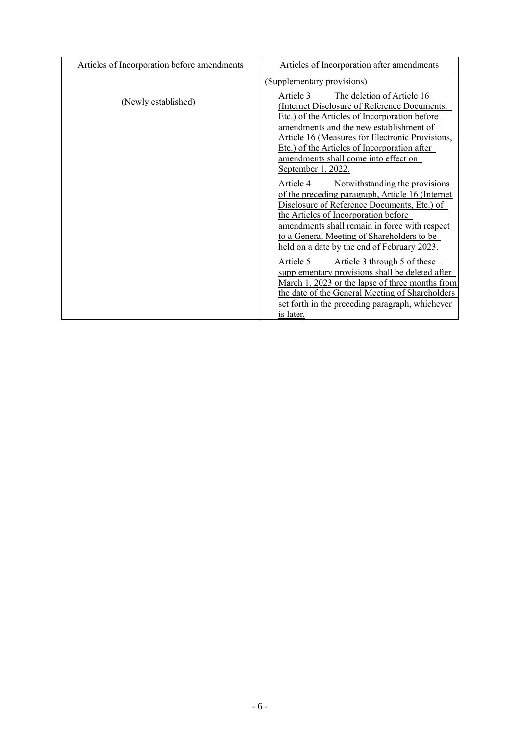| Articles of Incorporation before amendments | Articles of Incorporation after amendments                                                                                                                                                                                                                                                                                                                                                                       |
|---------------------------------------------|------------------------------------------------------------------------------------------------------------------------------------------------------------------------------------------------------------------------------------------------------------------------------------------------------------------------------------------------------------------------------------------------------------------|
| (Newly established)                         | (Supplementary provisions)<br>Article 3<br>The deletion of Article 16<br>(Internet Disclosure of Reference Documents,<br>Etc.) of the Articles of Incorporation before<br>amendments and the new establishment of<br>Article 16 (Measures for Electronic Provisions,                                                                                                                                             |
|                                             | Etc.) of the Articles of Incorporation after<br>amendments shall come into effect on<br>September 1, 2022.<br>Notwithstanding the provisions<br>Article 4<br>of the preceding paragraph, Article 16 (Internet<br>Disclosure of Reference Documents, Etc.) of<br>the Articles of Incorporation before                                                                                                             |
|                                             | amendments shall remain in force with respect<br>to a General Meeting of Shareholders to be<br>held on a date by the end of February 2023.<br>Article 3 through 5 of these<br>Article 5<br>supplementary provisions shall be deleted after<br>March 1, 2023 or the lapse of three months from<br>the date of the General Meeting of Shareholders<br>set forth in the preceding paragraph, whichever<br>is later. |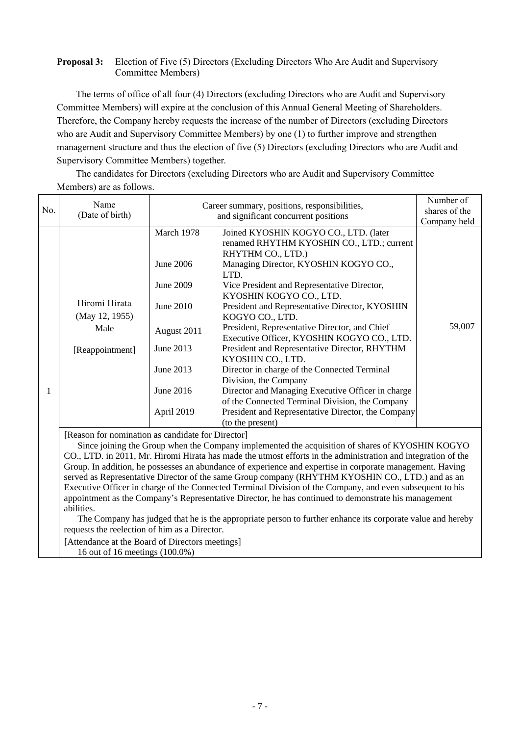## **Proposal 3:** Election of Five (5) Directors (Excluding Directors Who Are Audit and Supervisory Committee Members)

The terms of office of all four (4) Directors (excluding Directors who are Audit and Supervisory Committee Members) will expire at the conclusion of this Annual General Meeting of Shareholders. Therefore, the Company hereby requests the increase of the number of Directors (excluding Directors who are Audit and Supervisory Committee Members) by one (1) to further improve and strengthen management structure and thus the election of five (5) Directors (excluding Directors who are Audit and Supervisory Committee Members) together.

The candidates for Directors (excluding Directors who are Audit and Supervisory Committee Members) are as follows.

| No. | Name<br>(Date of birth)                                    |                                                                                                                       | Career summary, positions, responsibilities,<br>and significant concurrent positions                                                                                                                                                                                                                                                                                                                                                                                                                                                                                                                                                                                                                                                    | Number of<br>shares of the<br>Company held |
|-----|------------------------------------------------------------|-----------------------------------------------------------------------------------------------------------------------|-----------------------------------------------------------------------------------------------------------------------------------------------------------------------------------------------------------------------------------------------------------------------------------------------------------------------------------------------------------------------------------------------------------------------------------------------------------------------------------------------------------------------------------------------------------------------------------------------------------------------------------------------------------------------------------------------------------------------------------------|--------------------------------------------|
|     | Hiromi Hirata<br>(May 12, 1955)<br>Male<br>[Reappointment] | March 1978<br>June 2006<br>June 2009<br>June 2010<br>August 2011<br>June 2013<br>June 2013<br>June 2016<br>April 2019 | Joined KYOSHIN KOGYO CO., LTD. (later<br>renamed RHYTHM KYOSHIN CO., LTD.; current<br>RHYTHM CO., LTD.)<br>Managing Director, KYOSHIN KOGYO CO.,<br>LTD.<br>Vice President and Representative Director,<br>KYOSHIN KOGYO CO., LTD.<br>President and Representative Director, KYOSHIN<br>KOGYO CO., LTD.<br>President, Representative Director, and Chief<br>Executive Officer, KYOSHIN KOGYO CO., LTD.<br>President and Representative Director, RHYTHM<br>KYOSHIN CO., LTD.<br>Director in charge of the Connected Terminal<br>Division, the Company<br>Director and Managing Executive Officer in charge<br>of the Connected Terminal Division, the Company<br>President and Representative Director, the Company<br>(to the present) | 59,007                                     |

[Reason for nomination as candidate for Director]

Since joining the Group when the Company implemented the acquisition of shares of KYOSHIN KOGYO CO., LTD. in 2011, Mr. Hiromi Hirata has made the utmost efforts in the administration and integration of the Group. In addition, he possesses an abundance of experience and expertise in corporate management. Having served as Representative Director of the same Group company (RHYTHM KYOSHIN CO., LTD.) and as an Executive Officer in charge of the Connected Terminal Division of the Company, and even subsequent to his appointment as the Company's Representative Director, he has continued to demonstrate his management abilities.

The Company has judged that he is the appropriate person to further enhance its corporate value and hereby requests the reelection of him as a Director.

[Attendance at the Board of Directors meetings] 16 out of 16 meetings (100.0%)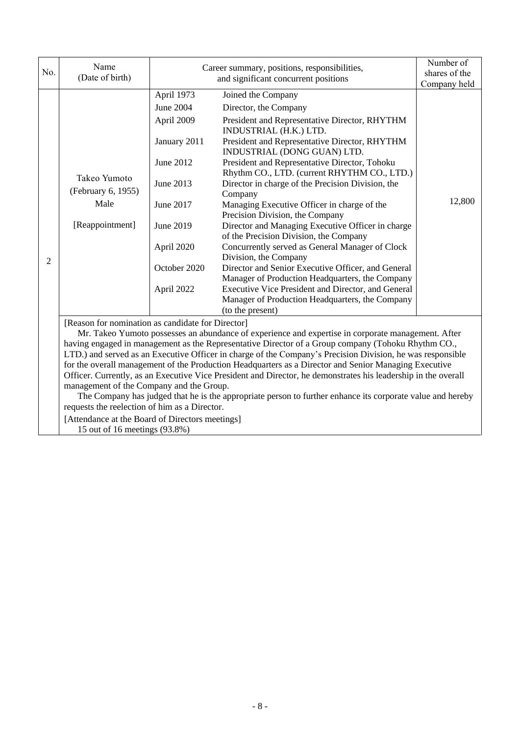| No. | Name<br>(Date of birth)                                                                       | Career summary, positions, responsibilities,                                                                                                          | Number of<br>shares of the                                                                                                                                                                                                                                                                                                                                                                                                                                                                                                                                                                                                                                                                                                                                                                                                                                                                    |                        |
|-----|-----------------------------------------------------------------------------------------------|-------------------------------------------------------------------------------------------------------------------------------------------------------|-----------------------------------------------------------------------------------------------------------------------------------------------------------------------------------------------------------------------------------------------------------------------------------------------------------------------------------------------------------------------------------------------------------------------------------------------------------------------------------------------------------------------------------------------------------------------------------------------------------------------------------------------------------------------------------------------------------------------------------------------------------------------------------------------------------------------------------------------------------------------------------------------|------------------------|
| 2   | Takeo Yumoto<br>(February 6, 1955)<br>Male<br>[Reappointment]                                 | April 1973<br>June 2004<br>April 2009<br>January 2011<br>June 2012<br>June 2013<br>June 2017<br>June 2019<br>April 2020<br>October 2020<br>April 2022 | and significant concurrent positions<br>Joined the Company<br>Director, the Company<br>President and Representative Director, RHYTHM<br>INDUSTRIAL (H.K.) LTD.<br>President and Representative Director, RHYTHM<br>INDUSTRIAL (DONG GUAN) LTD.<br>President and Representative Director, Tohoku<br>Rhythm CO., LTD. (current RHYTHM CO., LTD.)<br>Director in charge of the Precision Division, the<br>Company<br>Managing Executive Officer in charge of the<br>Precision Division, the Company<br>Director and Managing Executive Officer in charge<br>of the Precision Division, the Company<br>Concurrently served as General Manager of Clock<br>Division, the Company<br>Director and Senior Executive Officer, and General<br>Manager of Production Headquarters, the Company<br>Executive Vice President and Director, and General<br>Manager of Production Headquarters, the Company | Company held<br>12,800 |
|     | [Reason for nomination as candidate for Director]<br>management of the Company and the Group. |                                                                                                                                                       | (to the present)<br>Mr. Takeo Yumoto possesses an abundance of experience and expertise in corporate management. After<br>having engaged in management as the Representative Director of a Group company (Tohoku Rhythm CO.,<br>LTD.) and served as an Executive Officer in charge of the Company's Precision Division, he was responsible<br>for the overall management of the Production Headquarters as a Director and Senior Managing Executive<br>Officer. Currently, as an Executive Vice President and Director, he demonstrates his leadership in the overall<br>The Company has judged that he is the appropriate person to further enhance its corporate value and hereby                                                                                                                                                                                                           |                        |
|     | requests the reelection of him as a Director.                                                 |                                                                                                                                                       |                                                                                                                                                                                                                                                                                                                                                                                                                                                                                                                                                                                                                                                                                                                                                                                                                                                                                               |                        |

[Attendance at the Board of Directors meetings] 15 out of 16 meetings (93.8%)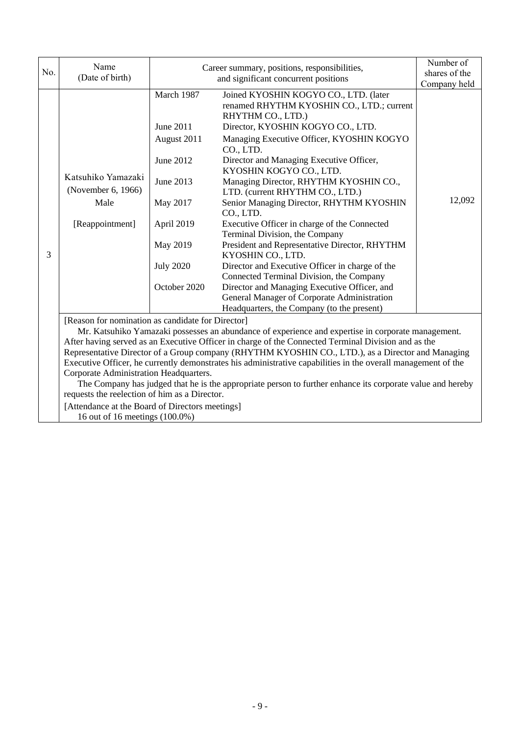| No. | Name<br>(Date of birth)                                                                           | Career summary, positions, responsibilities,                                                                                               | Number of<br>shares of the<br>Company held                                                                                                                                                                                                                                                                                                                                                                                                                                                                                                                                                                                                                                                                                                                                                                              |        |  |  |
|-----|---------------------------------------------------------------------------------------------------|--------------------------------------------------------------------------------------------------------------------------------------------|-------------------------------------------------------------------------------------------------------------------------------------------------------------------------------------------------------------------------------------------------------------------------------------------------------------------------------------------------------------------------------------------------------------------------------------------------------------------------------------------------------------------------------------------------------------------------------------------------------------------------------------------------------------------------------------------------------------------------------------------------------------------------------------------------------------------------|--------|--|--|
| 3   | Katsuhiko Yamazaki<br>(November 6, 1966)<br>Male<br>[Reappointment]                               | March 1987<br>June 2011<br>August 2011<br>June 2012<br>June 2013<br>May 2017<br>April 2019<br>May 2019<br><b>July 2020</b><br>October 2020 | Joined KYOSHIN KOGYO CO., LTD. (later<br>renamed RHYTHM KYOSHIN CO., LTD.; current<br>RHYTHM CO., LTD.)<br>Director, KYOSHIN KOGYO CO., LTD.<br>Managing Executive Officer, KYOSHIN KOGYO<br>CO., LTD.<br>Director and Managing Executive Officer,<br>KYOSHIN KOGYO CO., LTD.<br>Managing Director, RHYTHM KYOSHIN CO.,<br>LTD. (current RHYTHM CO., LTD.)<br>Senior Managing Director, RHYTHM KYOSHIN<br>CO., LTD.<br>Executive Officer in charge of the Connected<br>Terminal Division, the Company<br>President and Representative Director, RHYTHM<br>KYOSHIN CO., LTD.<br>Director and Executive Officer in charge of the<br>Connected Terminal Division, the Company<br>Director and Managing Executive Officer, and<br>General Manager of Corporate Administration<br>Headquarters, the Company (to the present) | 12,092 |  |  |
|     |                                                                                                   |                                                                                                                                            |                                                                                                                                                                                                                                                                                                                                                                                                                                                                                                                                                                                                                                                                                                                                                                                                                         |        |  |  |
|     | [Reason for nomination as candidate for Director]                                                 |                                                                                                                                            |                                                                                                                                                                                                                                                                                                                                                                                                                                                                                                                                                                                                                                                                                                                                                                                                                         |        |  |  |
|     |                                                                                                   |                                                                                                                                            | Mr. Katsuhiko Yamazaki possesses an abundance of experience and expertise in corporate management.                                                                                                                                                                                                                                                                                                                                                                                                                                                                                                                                                                                                                                                                                                                      |        |  |  |
|     |                                                                                                   |                                                                                                                                            | After having served as an Executive Officer in charge of the Connected Terminal Division and as the                                                                                                                                                                                                                                                                                                                                                                                                                                                                                                                                                                                                                                                                                                                     |        |  |  |
|     | Representative Director of a Group company (RHYTHM KYOSHIN CO., LTD.), as a Director and Managing |                                                                                                                                            |                                                                                                                                                                                                                                                                                                                                                                                                                                                                                                                                                                                                                                                                                                                                                                                                                         |        |  |  |
|     |                                                                                                   |                                                                                                                                            | Executive Officer, he currently demonstrates his administrative capabilities in the overall management of the                                                                                                                                                                                                                                                                                                                                                                                                                                                                                                                                                                                                                                                                                                           |        |  |  |
|     | Corporate Administration Headquarters.                                                            |                                                                                                                                            |                                                                                                                                                                                                                                                                                                                                                                                                                                                                                                                                                                                                                                                                                                                                                                                                                         |        |  |  |
|     |                                                                                                   |                                                                                                                                            | The Company has judged that he is the appropriate person to further enhance its corporate value and hereby                                                                                                                                                                                                                                                                                                                                                                                                                                                                                                                                                                                                                                                                                                              |        |  |  |

requests the reelection of him as a Director.

[Attendance at the Board of Directors meetings]

16 out of 16 meetings (100.0%)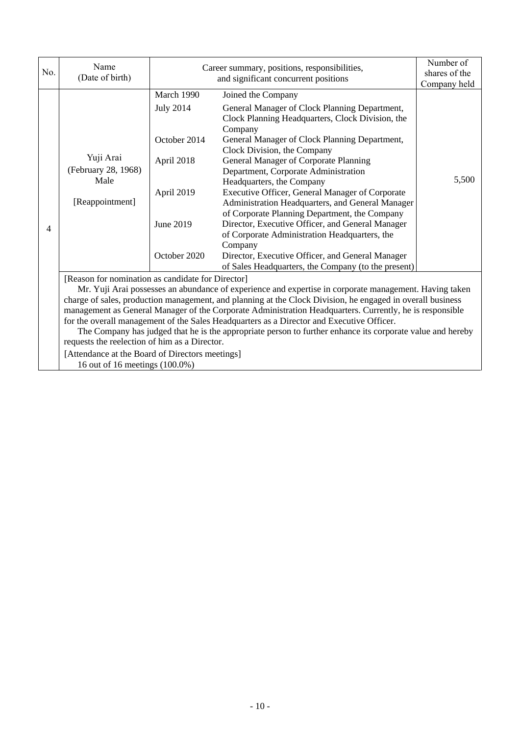| No. | Name<br>(Date of birth)                                                                                                                                                                                                                                                                                                                                                                                                                                                                                                                                                                          | Career summary, positions, responsibilities,                                                            | Number of<br>shares of the<br>Company held                                                                                                                                                                                                                                                                                                                                                                                                                                                                                                                                                                                                                                                                          |       |  |
|-----|--------------------------------------------------------------------------------------------------------------------------------------------------------------------------------------------------------------------------------------------------------------------------------------------------------------------------------------------------------------------------------------------------------------------------------------------------------------------------------------------------------------------------------------------------------------------------------------------------|---------------------------------------------------------------------------------------------------------|---------------------------------------------------------------------------------------------------------------------------------------------------------------------------------------------------------------------------------------------------------------------------------------------------------------------------------------------------------------------------------------------------------------------------------------------------------------------------------------------------------------------------------------------------------------------------------------------------------------------------------------------------------------------------------------------------------------------|-------|--|
| 4   | Yuji Arai<br>(February 28, 1968)<br>Male<br>[Reappointment]                                                                                                                                                                                                                                                                                                                                                                                                                                                                                                                                      | March 1990<br><b>July 2014</b><br>October 2014<br>April 2018<br>April 2019<br>June 2019<br>October 2020 | Joined the Company<br>General Manager of Clock Planning Department,<br>Clock Planning Headquarters, Clock Division, the<br>Company<br>General Manager of Clock Planning Department,<br>Clock Division, the Company<br>General Manager of Corporate Planning<br>Department, Corporate Administration<br>Headquarters, the Company<br>Executive Officer, General Manager of Corporate<br>Administration Headquarters, and General Manager<br>of Corporate Planning Department, the Company<br>Director, Executive Officer, and General Manager<br>of Corporate Administration Headquarters, the<br>Company<br>Director, Executive Officer, and General Manager<br>of Sales Headquarters, the Company (to the present) | 5,500 |  |
|     | [Reason for nomination as candidate for Director]<br>Mr. Yuji Arai possesses an abundance of experience and expertise in corporate management. Having taken<br>charge of sales, production management, and planning at the Clock Division, he engaged in overall business<br>management as General Manager of the Corporate Administration Headquarters. Currently, he is responsible<br>for the overall management of the Sales Headquarters as a Director and Executive Officer.<br>The Company has judged that he is the appropriate person to further enhance its corporate value and hereby |                                                                                                         |                                                                                                                                                                                                                                                                                                                                                                                                                                                                                                                                                                                                                                                                                                                     |       |  |

requests the reelection of him as a Director.

[Attendance at the Board of Directors meetings]

16 out of 16 meetings (100.0%)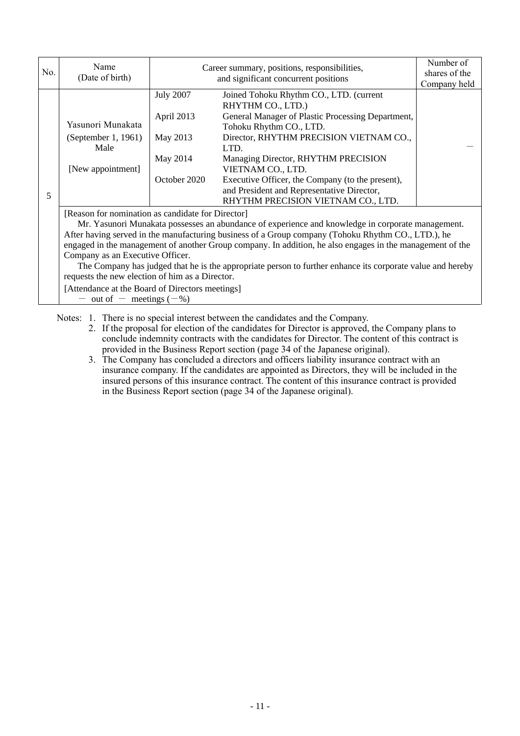| No. | Name<br>(Date of birth)                           |                  | Career summary, positions, responsibilities,<br>and significant concurrent positions              | Number of<br>shares of the<br>Company held |  |  |
|-----|---------------------------------------------------|------------------|---------------------------------------------------------------------------------------------------|--------------------------------------------|--|--|
|     |                                                   | <b>July 2007</b> | Joined Tohoku Rhythm CO., LTD. (current                                                           |                                            |  |  |
|     |                                                   |                  | RHYTHM CO., LTD.)                                                                                 |                                            |  |  |
|     |                                                   | April 2013       | General Manager of Plastic Processing Department,                                                 |                                            |  |  |
|     | Yasunori Munakata                                 |                  | Tohoku Rhythm CO., LTD.                                                                           |                                            |  |  |
|     | (September 1, 1961)                               | May 2013         | Director, RHYTHM PRECISION VIETNAM CO.,                                                           |                                            |  |  |
|     | Male                                              |                  | LTD.                                                                                              |                                            |  |  |
|     |                                                   | May 2014         | Managing Director, RHYTHM PRECISION                                                               |                                            |  |  |
|     | [New appointment]                                 |                  | VIETNAM CO., LTD.                                                                                 |                                            |  |  |
|     |                                                   | October 2020     | Executive Officer, the Company (to the present),                                                  |                                            |  |  |
|     |                                                   |                  | and President and Representative Director,                                                        |                                            |  |  |
| 5   |                                                   |                  | RHYTHM PRECISION VIETNAM CO., LTD.                                                                |                                            |  |  |
|     | [Reason for nomination as candidate for Director] |                  |                                                                                                   |                                            |  |  |
|     |                                                   |                  | Mr. Yasunori Munakata possesses an abundance of experience and knowledge in corporate management. |                                            |  |  |
|     |                                                   |                  |                                                                                                   |                                            |  |  |

After having served in the manufacturing business of a Group company (Tohoku Rhythm CO., LTD.), he engaged in the management of another Group company. In addition, he also engages in the management of the Company as an Executive Officer.

The Company has judged that he is the appropriate person to further enhance its corporate value and hereby requests the new election of him as a Director.

[Attendance at the Board of Directors meetings]

 $-$  out of  $-$  meetings  $(-\%)$ 

Notes: 1. There is no special interest between the candidates and the Company.

2. If the proposal for election of the candidates for Director is approved, the Company plans to conclude indemnity contracts with the candidates for Director. The content of this contract is provided in the Business Report section (page 34 of the Japanese original).

3. The Company has concluded a directors and officers liability insurance contract with an insurance company. If the candidates are appointed as Directors, they will be included in the insured persons of this insurance contract. The content of this insurance contract is provided in the Business Report section (page 34 of the Japanese original).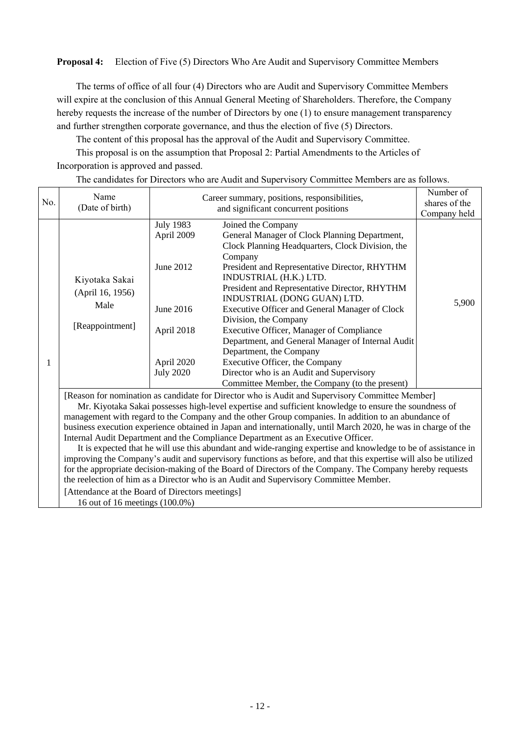**Proposal 4:** Election of Five (5) Directors Who Are Audit and Supervisory Committee Members

The terms of office of all four (4) Directors who are Audit and Supervisory Committee Members will expire at the conclusion of this Annual General Meeting of Shareholders. Therefore, the Company hereby requests the increase of the number of Directors by one (1) to ensure management transparency and further strengthen corporate governance, and thus the election of five (5) Directors.

The content of this proposal has the approval of the Audit and Supervisory Committee.

This proposal is on the assumption that Proposal 2: Partial Amendments to the Articles of Incorporation is approved and passed.

|     | Name                                                                                                                                                                                                                                                                                                                                                                                                                                                                                                                                                                                                                                                                                                                                                                                                                                                                                                                                                                                                                                                  |                                                                                      | Number of                                                                                                                                                                                                                                                                                                                                                                                                                                                                                                                              |               |  |  |
|-----|-------------------------------------------------------------------------------------------------------------------------------------------------------------------------------------------------------------------------------------------------------------------------------------------------------------------------------------------------------------------------------------------------------------------------------------------------------------------------------------------------------------------------------------------------------------------------------------------------------------------------------------------------------------------------------------------------------------------------------------------------------------------------------------------------------------------------------------------------------------------------------------------------------------------------------------------------------------------------------------------------------------------------------------------------------|--------------------------------------------------------------------------------------|----------------------------------------------------------------------------------------------------------------------------------------------------------------------------------------------------------------------------------------------------------------------------------------------------------------------------------------------------------------------------------------------------------------------------------------------------------------------------------------------------------------------------------------|---------------|--|--|
| No. | (Date of birth)                                                                                                                                                                                                                                                                                                                                                                                                                                                                                                                                                                                                                                                                                                                                                                                                                                                                                                                                                                                                                                       |                                                                                      | Career summary, positions, responsibilities,                                                                                                                                                                                                                                                                                                                                                                                                                                                                                           | shares of the |  |  |
|     |                                                                                                                                                                                                                                                                                                                                                                                                                                                                                                                                                                                                                                                                                                                                                                                                                                                                                                                                                                                                                                                       |                                                                                      | and significant concurrent positions                                                                                                                                                                                                                                                                                                                                                                                                                                                                                                   | Company held  |  |  |
| 1   | Kiyotaka Sakai<br>(April 16, 1956)<br>Male<br>[Reappointment]                                                                                                                                                                                                                                                                                                                                                                                                                                                                                                                                                                                                                                                                                                                                                                                                                                                                                                                                                                                         | <b>July 1983</b><br>April 2009<br>June 2012<br>June 2016<br>April 2018<br>April 2020 | Joined the Company<br>General Manager of Clock Planning Department,<br>Clock Planning Headquarters, Clock Division, the<br>Company<br>President and Representative Director, RHYTHM<br>INDUSTRIAL (H.K.) LTD.<br>President and Representative Director, RHYTHM<br>INDUSTRIAL (DONG GUAN) LTD.<br>Executive Officer and General Manager of Clock<br>Division, the Company<br>Executive Officer, Manager of Compliance<br>Department, and General Manager of Internal Audit<br>Department, the Company<br>Executive Officer, the Company | 5,900         |  |  |
|     |                                                                                                                                                                                                                                                                                                                                                                                                                                                                                                                                                                                                                                                                                                                                                                                                                                                                                                                                                                                                                                                       | <b>July 2020</b>                                                                     | Director who is an Audit and Supervisory                                                                                                                                                                                                                                                                                                                                                                                                                                                                                               |               |  |  |
|     |                                                                                                                                                                                                                                                                                                                                                                                                                                                                                                                                                                                                                                                                                                                                                                                                                                                                                                                                                                                                                                                       |                                                                                      | Committee Member, the Company (to the present)                                                                                                                                                                                                                                                                                                                                                                                                                                                                                         |               |  |  |
|     | [Reason for nomination as candidate for Director who is Audit and Supervisory Committee Member]<br>Mr. Kiyotaka Sakai possesses high-level expertise and sufficient knowledge to ensure the soundness of<br>management with regard to the Company and the other Group companies. In addition to an abundance of<br>business execution experience obtained in Japan and internationally, until March 2020, he was in charge of the<br>Internal Audit Department and the Compliance Department as an Executive Officer.<br>It is expected that he will use this abundant and wide-ranging expertise and knowledge to be of assistance in<br>improving the Company's audit and supervisory functions as before, and that this expertise will also be utilized<br>for the appropriate decision-making of the Board of Directors of the Company. The Company hereby requests<br>the reelection of him as a Director who is an Audit and Supervisory Committee Member.<br>[Attendance at the Board of Directors meetings]<br>16 out of 16 meetings (100.0%) |                                                                                      |                                                                                                                                                                                                                                                                                                                                                                                                                                                                                                                                        |               |  |  |

The candidates for Directors who are Audit and Supervisory Committee Members are as follows.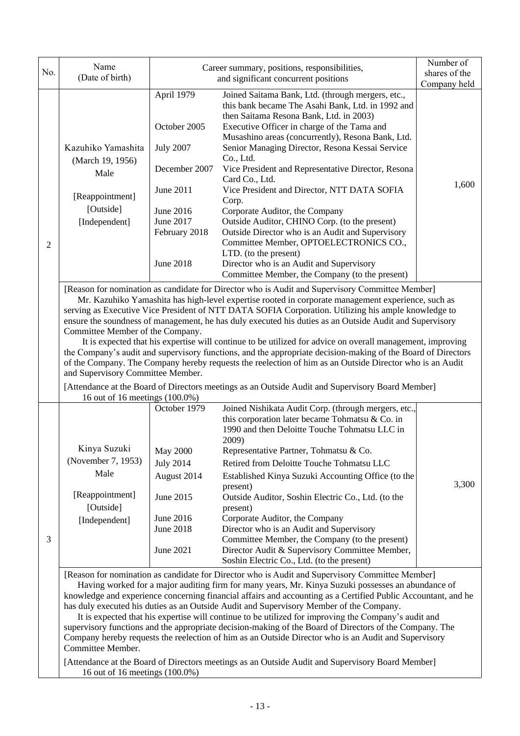|                | Name                                                                                            |                  | Number of<br>shares of the                                                                                    |              |  |  |  |
|----------------|-------------------------------------------------------------------------------------------------|------------------|---------------------------------------------------------------------------------------------------------------|--------------|--|--|--|
| No.            | (Date of birth)                                                                                 |                  | Career summary, positions, responsibilities,<br>and significant concurrent positions                          |              |  |  |  |
|                |                                                                                                 |                  |                                                                                                               | Company held |  |  |  |
|                |                                                                                                 | April 1979       | Joined Saitama Bank, Ltd. (through mergers, etc.,                                                             |              |  |  |  |
|                |                                                                                                 |                  | this bank became The Asahi Bank, Ltd. in 1992 and                                                             |              |  |  |  |
|                |                                                                                                 |                  | then Saitama Resona Bank, Ltd. in 2003)                                                                       |              |  |  |  |
|                |                                                                                                 | October 2005     | Executive Officer in charge of the Tama and                                                                   |              |  |  |  |
|                | Kazuhiko Yamashita                                                                              | <b>July 2007</b> | Musashino areas (concurrently), Resona Bank, Ltd.<br>Senior Managing Director, Resona Kessai Service          |              |  |  |  |
|                |                                                                                                 |                  | Co., Ltd.                                                                                                     |              |  |  |  |
|                | (March 19, 1956)<br>Male                                                                        | December 2007    | Vice President and Representative Director, Resona                                                            |              |  |  |  |
|                |                                                                                                 |                  | Card Co., Ltd.                                                                                                |              |  |  |  |
|                |                                                                                                 | June 2011        | Vice President and Director, NTT DATA SOFIA                                                                   | 1,600        |  |  |  |
|                | [Reappointment]                                                                                 |                  | Corp.                                                                                                         |              |  |  |  |
|                | [Outside]                                                                                       | June 2016        | Corporate Auditor, the Company                                                                                |              |  |  |  |
|                | [Independent]                                                                                   | June 2017        | Outside Auditor, CHINO Corp. (to the present)                                                                 |              |  |  |  |
|                |                                                                                                 | February 2018    | Outside Director who is an Audit and Supervisory                                                              |              |  |  |  |
| $\overline{2}$ |                                                                                                 |                  | Committee Member, OPTOELECTRONICS CO.,                                                                        |              |  |  |  |
|                |                                                                                                 |                  | LTD. (to the present)                                                                                         |              |  |  |  |
|                |                                                                                                 | <b>June 2018</b> | Director who is an Audit and Supervisory                                                                      |              |  |  |  |
|                |                                                                                                 |                  | Committee Member, the Company (to the present)                                                                |              |  |  |  |
|                | [Reason for nomination as candidate for Director who is Audit and Supervisory Committee Member] |                  |                                                                                                               |              |  |  |  |
|                |                                                                                                 |                  | Mr. Kazuhiko Yamashita has high-level expertise rooted in corporate management experience, such as            |              |  |  |  |
|                |                                                                                                 |                  | serving as Executive Vice President of NTT DATA SOFIA Corporation. Utilizing his ample knowledge to           |              |  |  |  |
|                |                                                                                                 |                  | ensure the soundness of management, he has duly executed his duties as an Outside Audit and Supervisory       |              |  |  |  |
|                | Committee Member of the Company.                                                                |                  |                                                                                                               |              |  |  |  |
|                |                                                                                                 |                  | It is expected that his expertise will continue to be utilized for advice on overall management, improving    |              |  |  |  |
|                |                                                                                                 |                  | the Company's audit and supervisory functions, and the appropriate decision-making of the Board of Directors  |              |  |  |  |
|                | and Supervisory Committee Member.                                                               |                  | of the Company. The Company hereby requests the reelection of him as an Outside Director who is an Audit      |              |  |  |  |
|                |                                                                                                 |                  |                                                                                                               |              |  |  |  |
|                | 16 out of 16 meetings (100.0%)                                                                  |                  | [Attendance at the Board of Directors meetings as an Outside Audit and Supervisory Board Member]              |              |  |  |  |
|                |                                                                                                 | October 1979     | Joined Nishikata Audit Corp. (through mergers, etc.,                                                          |              |  |  |  |
|                |                                                                                                 |                  | this corporation later became Tohmatsu & Co. in                                                               |              |  |  |  |
|                |                                                                                                 |                  | 1990 and then Deloitte Touche Tohmatsu LLC in                                                                 |              |  |  |  |
|                |                                                                                                 |                  | 2009)                                                                                                         |              |  |  |  |
|                | Kinya Suzuki                                                                                    | <b>May 2000</b>  | Representative Partner, Tohmatsu & Co.                                                                        |              |  |  |  |
|                | (November 7, 1953)                                                                              | <b>July 2014</b> | Retired from Deloitte Touche Tohmatsu LLC                                                                     |              |  |  |  |
|                | Male                                                                                            | August 2014      | Established Kinya Suzuki Accounting Office (to the                                                            |              |  |  |  |
|                |                                                                                                 |                  | present)                                                                                                      | 3,300        |  |  |  |
|                | [Reappointment]                                                                                 | June 2015        | Outside Auditor, Soshin Electric Co., Ltd. (to the                                                            |              |  |  |  |
|                | [Outside]                                                                                       |                  | present)                                                                                                      |              |  |  |  |
|                | [Independent]                                                                                   | June 2016        | Corporate Auditor, the Company                                                                                |              |  |  |  |
|                |                                                                                                 | <b>June 2018</b> | Director who is an Audit and Supervisory                                                                      |              |  |  |  |
| 3              |                                                                                                 |                  | Committee Member, the Company (to the present)                                                                |              |  |  |  |
|                |                                                                                                 | June 2021        | Director Audit & Supervisory Committee Member,                                                                |              |  |  |  |
|                |                                                                                                 |                  | Soshin Electric Co., Ltd. (to the present)                                                                    |              |  |  |  |
|                |                                                                                                 |                  | [Reason for nomination as candidate for Director who is Audit and Supervisory Committee Member]               |              |  |  |  |
|                |                                                                                                 |                  | Having worked for a major auditing firm for many years, Mr. Kinya Suzuki possesses an abundance of            |              |  |  |  |
|                |                                                                                                 |                  | knowledge and experience concerning financial affairs and accounting as a Certified Public Accountant, and he |              |  |  |  |
|                |                                                                                                 |                  | has duly executed his duties as an Outside Audit and Supervisory Member of the Company.                       |              |  |  |  |
|                |                                                                                                 |                  | It is expected that his expertise will continue to be utilized for improving the Company's audit and          |              |  |  |  |
|                |                                                                                                 |                  | supervisory functions and the appropriate decision-making of the Board of Directors of the Company. The       |              |  |  |  |
|                |                                                                                                 |                  | Company hereby requests the reelection of him as an Outside Director who is an Audit and Supervisory          |              |  |  |  |
|                | Committee Member.                                                                               |                  |                                                                                                               |              |  |  |  |
|                |                                                                                                 |                  | [Attendance at the Board of Directors meetings as an Outside Audit and Supervisory Board Member]              |              |  |  |  |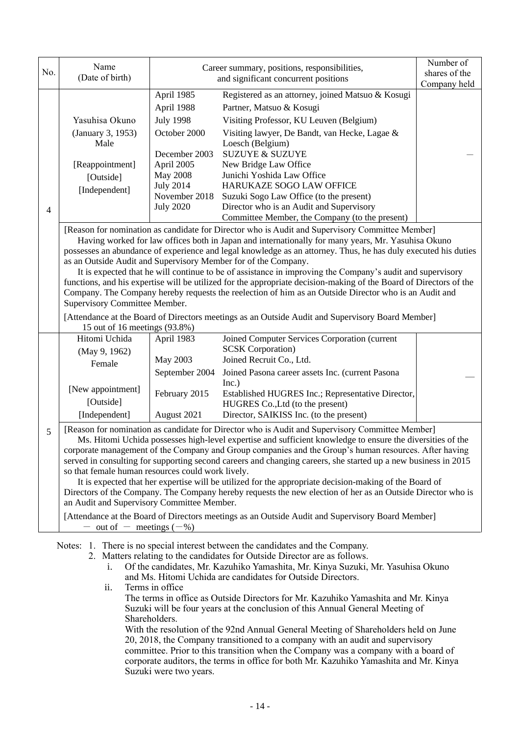| No.            | Name<br>(Date of birth)                                                                                                                                                                                              | Career summary, positions, responsibilities,                                                          | Number of<br>shares of the                                                                                         |              |  |  |  |  |
|----------------|----------------------------------------------------------------------------------------------------------------------------------------------------------------------------------------------------------------------|-------------------------------------------------------------------------------------------------------|--------------------------------------------------------------------------------------------------------------------|--------------|--|--|--|--|
|                |                                                                                                                                                                                                                      |                                                                                                       | and significant concurrent positions                                                                               | Company held |  |  |  |  |
|                |                                                                                                                                                                                                                      | April 1985                                                                                            | Registered as an attorney, joined Matsuo & Kosugi                                                                  |              |  |  |  |  |
|                |                                                                                                                                                                                                                      | April 1988                                                                                            | Partner, Matsuo & Kosugi                                                                                           |              |  |  |  |  |
|                | Yasuhisa Okuno                                                                                                                                                                                                       | <b>July 1998</b>                                                                                      | Visiting Professor, KU Leuven (Belgium)                                                                            |              |  |  |  |  |
|                | (January 3, 1953)                                                                                                                                                                                                    | October 2000                                                                                          | Visiting lawyer, De Bandt, van Hecke, Lagae &                                                                      |              |  |  |  |  |
|                | Male                                                                                                                                                                                                                 | December 2003                                                                                         | Loesch (Belgium)<br><b>SUZUYE &amp; SUZUYE</b>                                                                     |              |  |  |  |  |
|                | [Reappointment]                                                                                                                                                                                                      | April 2005                                                                                            | New Bridge Law Office                                                                                              |              |  |  |  |  |
|                | [Outside]                                                                                                                                                                                                            | <b>May 2008</b>                                                                                       | Junichi Yoshida Law Office                                                                                         |              |  |  |  |  |
|                | [Independent]                                                                                                                                                                                                        | <b>July 2014</b>                                                                                      | HARUKAZE SOGO LAW OFFICE                                                                                           |              |  |  |  |  |
|                |                                                                                                                                                                                                                      | November 2018                                                                                         | Suzuki Sogo Law Office (to the present)                                                                            |              |  |  |  |  |
| $\overline{4}$ |                                                                                                                                                                                                                      | <b>July 2020</b>                                                                                      | Director who is an Audit and Supervisory                                                                           |              |  |  |  |  |
|                |                                                                                                                                                                                                                      |                                                                                                       | Committee Member, the Company (to the present)                                                                     |              |  |  |  |  |
|                |                                                                                                                                                                                                                      | [Reason for nomination as candidate for Director who is Audit and Supervisory Committee Member]       |                                                                                                                    |              |  |  |  |  |
|                | Having worked for law offices both in Japan and internationally for many years, Mr. Yasuhisa Okuno<br>possesses an abundance of experience and legal knowledge as an attorney. Thus, he has duly executed his duties |                                                                                                       |                                                                                                                    |              |  |  |  |  |
|                |                                                                                                                                                                                                                      |                                                                                                       | as an Outside Audit and Supervisory Member for of the Company.                                                     |              |  |  |  |  |
|                |                                                                                                                                                                                                                      |                                                                                                       | It is expected that he will continue to be of assistance in improving the Company's audit and supervisory          |              |  |  |  |  |
|                |                                                                                                                                                                                                                      |                                                                                                       | functions, and his expertise will be utilized for the appropriate decision-making of the Board of Directors of the |              |  |  |  |  |
|                |                                                                                                                                                                                                                      |                                                                                                       | Company. The Company hereby requests the reelection of him as an Outside Director who is an Audit and              |              |  |  |  |  |
|                | Supervisory Committee Member.                                                                                                                                                                                        |                                                                                                       |                                                                                                                    |              |  |  |  |  |
|                | 15 out of 16 meetings (93.8%)                                                                                                                                                                                        |                                                                                                       | [Attendance at the Board of Directors meetings as an Outside Audit and Supervisory Board Member]                   |              |  |  |  |  |
|                | Hitomi Uchida                                                                                                                                                                                                        | April 1983                                                                                            | Joined Computer Services Corporation (current                                                                      |              |  |  |  |  |
|                | (May 9, 1962)                                                                                                                                                                                                        |                                                                                                       | <b>SCSK Corporation</b> )                                                                                          |              |  |  |  |  |
|                | Female                                                                                                                                                                                                               | May 2003                                                                                              | Joined Recruit Co., Ltd.                                                                                           |              |  |  |  |  |
|                |                                                                                                                                                                                                                      | September 2004                                                                                        | Joined Pasona career assets Inc. (current Pasona                                                                   |              |  |  |  |  |
|                | [New appointment]<br>February 2015                                                                                                                                                                                   |                                                                                                       | Inc.)<br>Established HUGRES Inc.; Representative Director,                                                         |              |  |  |  |  |
|                | [Outside]                                                                                                                                                                                                            |                                                                                                       | HUGRES Co., Ltd (to the present)                                                                                   |              |  |  |  |  |
|                | [Independent]                                                                                                                                                                                                        | August 2021                                                                                           | Director, SAIKISS Inc. (to the present)                                                                            |              |  |  |  |  |
|                |                                                                                                                                                                                                                      |                                                                                                       |                                                                                                                    |              |  |  |  |  |
| 5              | [Reason for nomination as candidate for Director who is Audit and Supervisory Committee Member]<br>Ms. Hitomi Uchida possesses high-level expertise and sufficient knowledge to ensure the diversities of the        |                                                                                                       |                                                                                                                    |              |  |  |  |  |
|                |                                                                                                                                                                                                                      | corporate management of the Company and Group companies and the Group's human resources. After having |                                                                                                                    |              |  |  |  |  |
|                |                                                                                                                                                                                                                      |                                                                                                       | served in consulting for supporting second careers and changing careers, she started up a new business in 2015     |              |  |  |  |  |
|                | so that female human resources could work lively.                                                                                                                                                                    |                                                                                                       |                                                                                                                    |              |  |  |  |  |
|                |                                                                                                                                                                                                                      |                                                                                                       | It is expected that her expertise will be utilized for the appropriate decision-making of the Board of             |              |  |  |  |  |
|                | an Audit and Supervisory Committee Member.                                                                                                                                                                           |                                                                                                       | Directors of the Company. The Company hereby requests the new election of her as an Outside Director who is        |              |  |  |  |  |
|                |                                                                                                                                                                                                                      |                                                                                                       |                                                                                                                    |              |  |  |  |  |
|                | [Attendance at the Board of Directors meetings as an Outside Audit and Supervisory Board Member]<br>$-$ out of $-$ meetings $(-\%)$                                                                                  |                                                                                                       |                                                                                                                    |              |  |  |  |  |

Notes: 1. There is no special interest between the candidates and the Company.

2. Matters relating to the candidates for Outside Director are as follows.

- i. Of the candidates, Mr. Kazuhiko Yamashita, Mr. Kinya Suzuki, Mr. Yasuhisa Okuno and Ms. Hitomi Uchida are candidates for Outside Directors.
- ii. Terms in office

The terms in office as Outside Directors for Mr. Kazuhiko Yamashita and Mr. Kinya Suzuki will be four years at the conclusion of this Annual General Meeting of Shareholders.

With the resolution of the 92nd Annual General Meeting of Shareholders held on June 20, 2018, the Company transitioned to a company with an audit and supervisory committee. Prior to this transition when the Company was a company with a board of corporate auditors, the terms in office for both Mr. Kazuhiko Yamashita and Mr. Kinya Suzuki were two years.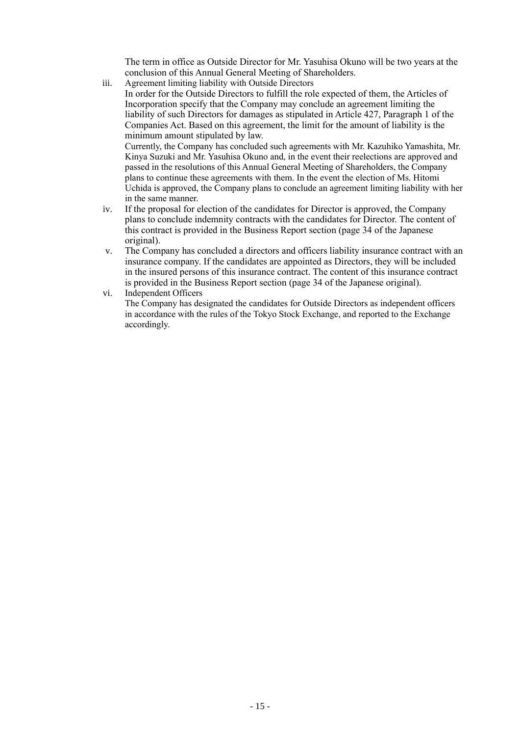The term in office as Outside Director for Mr. Yasuhisa Okuno will be two years at the conclusion of this Annual General Meeting of Shareholders.

- iii. Agreement limiting liability with Outside Directors In order for the Outside Directors to fulfill the role expected of them, the Articles of Incorporation specify that the Company may conclude an agreement limiting the liability of such Directors for damages as stipulated in Article 427, Paragraph 1 of the Companies Act. Based on this agreement, the limit for the amount of liability is the minimum amount stipulated by law. Currently, the Company has concluded such agreements with Mr. Kazuhiko Yamashita, Mr. Kinya Suzuki and Mr. Yasuhisa Okuno and, in the event their reelections are approved and passed in the resolutions of this Annual General Meeting of Shareholders, the Company plans to continue these agreements with them. In the event the election of Ms. Hitomi Uchida is approved, the Company plans to conclude an agreement limiting liability with her in the same manner.
- iv. If the proposal for election of the candidates for Director is approved, the Company plans to conclude indemnity contracts with the candidates for Director. The content of this contract is provided in the Business Report section (page 34 of the Japanese original).
- v. The Company has concluded a directors and officers liability insurance contract with an insurance company. If the candidates are appointed as Directors, they will be included in the insured persons of this insurance contract. The content of this insurance contract is provided in the Business Report section (page 34 of the Japanese original).
- vi. Independent Officers The Company has designated the candidates for Outside Directors as independent officers in accordance with the rules of the Tokyo Stock Exchange, and reported to the Exchange accordingly.